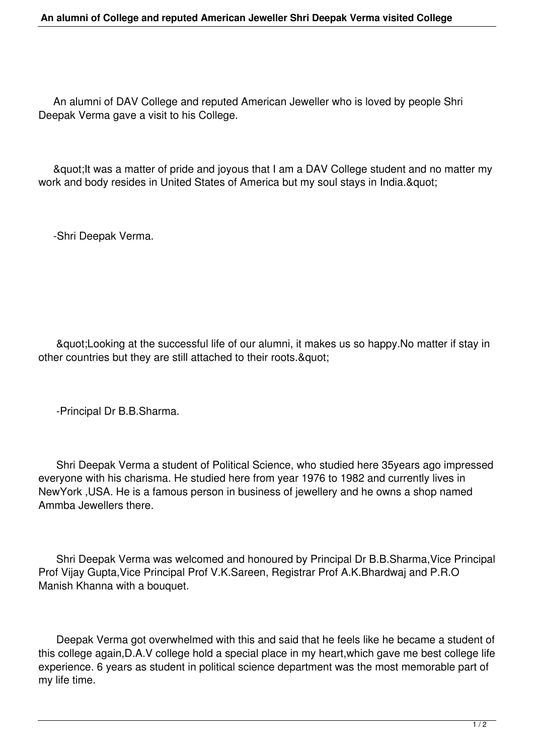## **An alumni of College and reputed American Jeweller Shri Deepak Verma visited College**

 An alumni of DAV College and reputed American Jeweller who is loved by people Shri Deepak Verma gave a visit to his College.

" It was a matter of pride and joyous that I am a DAV College student and no matter my work and body resides in United States of America but my soul stays in India. & quot:

-Shri Deepak Verma.

 "Looking at the successful life of our alumni, it makes us so happy.No matter if stay in other countries but they are still attached to their roots. & quot;

-Principal Dr B.B.Sharma.

 Shri Deepak Verma a student of Political Science, who studied here 35years ago impressed everyone with his charisma. He studied here from year 1976 to 1982 and currently lives in NewYork ,USA. He is a famous person in business of jewellery and he owns a shop named Ammba Jewellers there.

 Shri Deepak Verma was welcomed and honoured by Principal Dr B.B.Sharma,Vice Principal Prof Vijay Gupta,Vice Principal Prof V.K.Sareen, Registrar Prof A.K.Bhardwaj and P.R.O Manish Khanna with a bouquet.

 Deepak Verma got overwhelmed with this and said that he feels like he became a student of this college again,D.A.V college hold a special place in my heart,which gave me best college life experience. 6 years as student in political science department was the most memorable part of my life time.